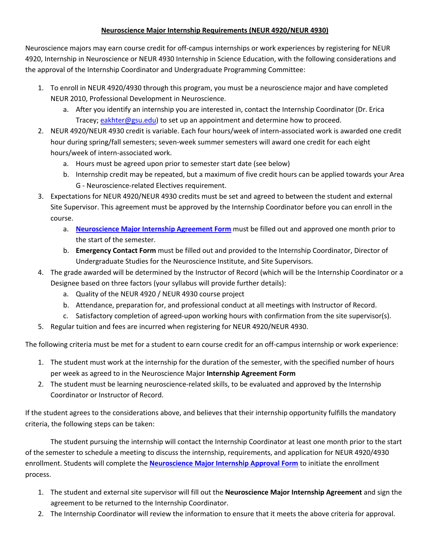## **Neuroscience Major Internship Requirements (NEUR 4920/NEUR 4930)**

Neuroscience majors may earn course credit for off-campus internships or work experiences by registering for NEUR 4920, Internship in Neuroscience or NEUR 4930 Internship in Science Education, with the following considerations and the approval of the Internship Coordinator and Undergraduate Programming Committee:

- 1. To enroll in NEUR 4920/4930 through this program, you must be a neuroscience major and have completed NEUR 2010, Professional Development in Neuroscience.
	- a. After you identify an internship you are interested in, contact the Internship Coordinator (Dr. Erica Tracey; eakhter@gsu.edu) to set up an appointment and determine how to proceed.
- 2. NEUR 4920/NEUR 4930 credit is variable. Each four hours/week of intern-associated work is awarded one credit hour during spring/fall semesters; seven-week summer semesters will award one credit for each eight hours/week of intern-associated work.
	- a. Hours must be agreed upon prior to semester start date (see below)
	- b. Internship credit may be repeated, but a maximum of five credit hours can be applied towards your Area G - Neuroscience-related Electives requirement.
- 3. Expectations for NEUR 4920/NEUR 4930 credits must be set and agreed to between the student and external Site Supervisor. This agreement must be approved by the Internship Coordinator before you can enroll in the course.
	- a. **Neuroscience Major Internship Agreement Form** must be filled out and approved one month prior to the start of the semester.
	- b. **Emergency Contact Form** must be filled out and provided to the Internship Coordinator, Director of Undergraduate Studies for the Neuroscience Institute, and Site Supervisors.
- 4. The grade awarded will be determined by the Instructor of Record (which will be the Internship Coordinator or a Designee based on three factors (your syllabus will provide further details):
	- a. Quality of the NEUR 4920 / NEUR 4930 course project
	- b. Attendance, preparation for, and professional conduct at all meetings with Instructor of Record.
	- c. Satisfactory completion of agreed-upon working hours with confirmation from the site supervisor(s).
- 5. Regular tuition and fees are incurred when registering for NEUR 4920/NEUR 4930.

The following criteria must be met for a student to earn course credit for an off-campus internship or work experience:

- 1. The student must work at the internship for the duration of the semester, with the specified number of hours per week as agreed to in the Neuroscience Major **Internship Agreement Form**
- 2. The student must be learning neuroscience-related skills, to be evaluated and approved by the Internship Coordinator or Instructor of Record.

If the student agrees to the considerations above, and believes that their internship opportunity fulfills the mandatory criteria, the following steps can be taken:

The student pursuing the internship will contact the Internship Coordinator at least one month prior to the start of the semester to schedule a meeting to discuss the internship, requirements, and application for NEUR 4920/4930 enrollment. Students will complete the **Neuroscience Major Internship Approval Form** to initiate the enrollment process.

- 1. The student and external site supervisor will fill out the **Neuroscience Major Internship Agreement** and sign the agreement to be returned to the Internship Coordinator.
- 2. The Internship Coordinator will review the information to ensure that it meets the above criteria for approval.